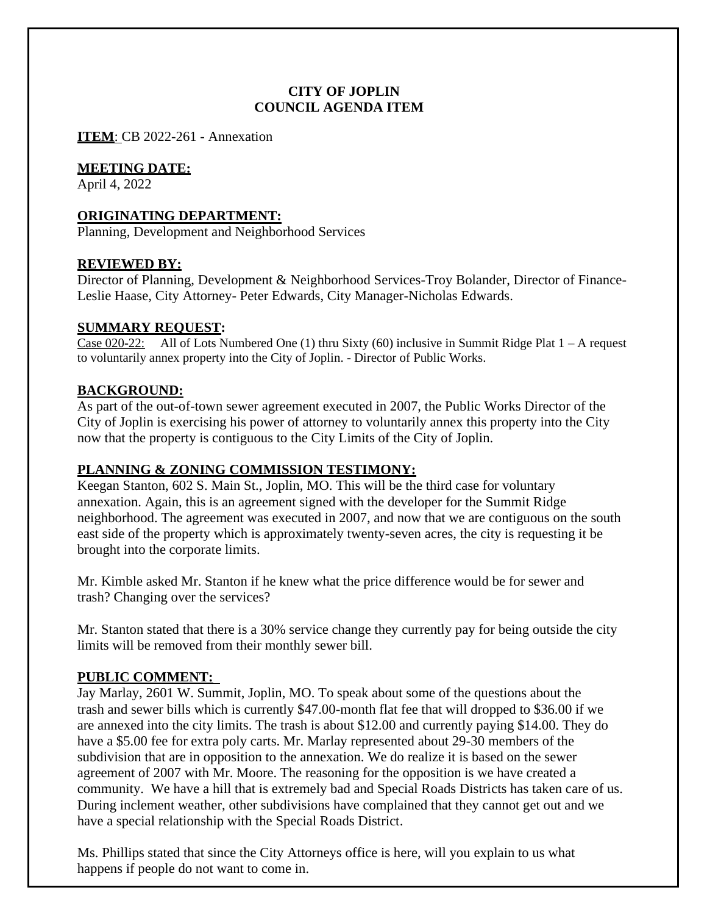## **CITY OF JOPLIN COUNCIL AGENDA ITEM**

**ITEM**: CB 2022-261 - Annexation

#### **MEETING DATE:**

April 4, 2022

## **ORIGINATING DEPARTMENT:**

Planning, Development and Neighborhood Services

### **REVIEWED BY:**

Director of Planning, Development & Neighborhood Services-Troy Bolander, Director of Finance-Leslie Haase, City Attorney- Peter Edwards, City Manager-Nicholas Edwards.

### **SUMMARY REQUEST:**

Case 020-22: All of Lots Numbered One (1) thru Sixty (60) inclusive in Summit Ridge Plat  $1 - A$  request to voluntarily annex property into the City of Joplin. - Director of Public Works.

### **BACKGROUND:**

As part of the out-of-town sewer agreement executed in 2007, the Public Works Director of the City of Joplin is exercising his power of attorney to voluntarily annex this property into the City now that the property is contiguous to the City Limits of the City of Joplin.

# **PLANNING & ZONING COMMISSION TESTIMONY:**

Keegan Stanton, 602 S. Main St., Joplin, MO. This will be the third case for voluntary annexation. Again, this is an agreement signed with the developer for the Summit Ridge neighborhood. The agreement was executed in 2007, and now that we are contiguous on the south east side of the property which is approximately twenty-seven acres, the city is requesting it be brought into the corporate limits.

Mr. Kimble asked Mr. Stanton if he knew what the price difference would be for sewer and trash? Changing over the services?

Mr. Stanton stated that there is a 30% service change they currently pay for being outside the city limits will be removed from their monthly sewer bill.

#### **PUBLIC COMMENT:**

Jay Marlay, 2601 W. Summit, Joplin, MO. To speak about some of the questions about the trash and sewer bills which is currently \$47.00-month flat fee that will dropped to \$36.00 if we are annexed into the city limits. The trash is about \$12.00 and currently paying \$14.00. They do have a \$5.00 fee for extra poly carts. Mr. Marlay represented about 29-30 members of the subdivision that are in opposition to the annexation. We do realize it is based on the sewer agreement of 2007 with Mr. Moore. The reasoning for the opposition is we have created a community. We have a hill that is extremely bad and Special Roads Districts has taken care of us. During inclement weather, other subdivisions have complained that they cannot get out and we have a special relationship with the Special Roads District.

Ms. Phillips stated that since the City Attorneys office is here, will you explain to us what happens if people do not want to come in.